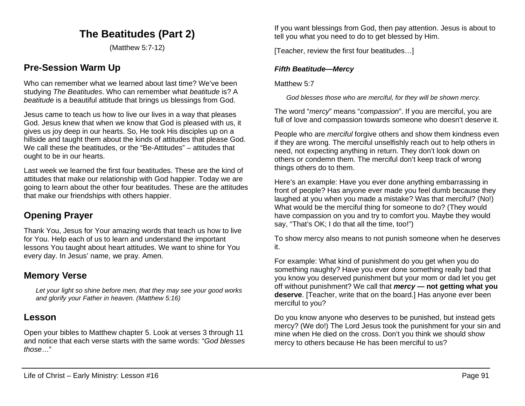# **The Beatitudes (Part 2)**

(Matthew 5:7-12)

## **Pre-Session Warm Up**

Who can remember what we learned about last time? We've been studying *The Beatitudes*. Who can remember what *beatitude* is? A *beatitude* is a beautiful attitude that brings us blessings from God.

Jesus came to teach us how to live our lives in a way that pleases God. Jesus knew that when we know that God is pleased with us, it gives us joy deep in our hearts. So, He took His disciples up on a hillside and taught them about the kinds of attitudes that please God. We call these the beatitudes, or the "Be-Attitudes" – attitudes that ought to be in our hearts.

Last week we learned the first four beatitudes. These are the kind of attitudes that make our relationship with God happier. Today we are going to learn about the other four beatitudes. These are the attitudes that make our friendships with others happier.

## **Opening Prayer**

Thank You, Jesus for Your amazing words that teach us how to live for You. Help each of us to learn and understand the important lessons You taught about heart attitudes. We want to shine for You every day. In Jesus' name, we pray. Amen.

## **Memory Verse**

*Let your light so shine before men, that they may see your good works and glorify your Father in heaven. (Matthew 5:16)*

## **Lesson**

Open your bibles to Matthew chapter 5. Look at verses 3 through 11 and notice that each verse starts with the same words: "*God blesses those*…"

If you want blessings from God, then pay attention. Jesus is about to tell you what you need to do to get blessed by Him.

[Teacher, review the first four beatitudes…]

#### *Fifth Beatitude—Mercy*

Matthew 5.7

*God blesses those who are merciful, for they will be shown mercy.*

The word "*mercy*" means "*compassion*". If you are merciful, you are full of love and compassion towards someone who doesn't deserve it.

People who are *merciful* forgive others and show them kindness even if they are wrong. The merciful unselfishly reach out to help others in need, not expecting anything in return. They don't look down on others or condemn them. The merciful don't keep track of wrong things others do to them.

Here's an example: Have you ever done anything embarrassing in front of people? Has anyone ever made you feel dumb because they laughed at you when you made a mistake? Was that merciful? (No!) What would be the merciful thing for someone to do? (They would have compassion on you and try to comfort you. Maybe they would say, "That's OK; I do that all the time, too!")

To show mercy also means to not punish someone when he deserves it.

For example: What kind of punishment do you get when you do something naughty? Have you ever done something really bad that you know you deserved punishment but your mom or dad let you get off without punishment? We call that *mercy* **— not getting what you deserve**. [Teacher, write that on the board.] Has anyone ever been merciful to you?

Do you know anyone who deserves to be punished, but instead gets mercy? (We do!) The Lord Jesus took the punishment for your sin and mine when He died on the cross. Don't you think we should show mercy to others because He has been merciful to us?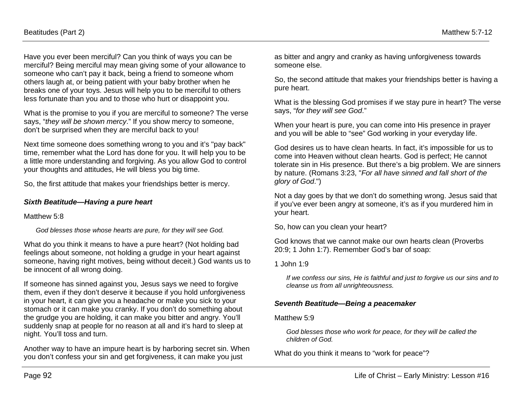Have you ever been merciful? Can you think of ways you can be merciful? Being merciful may mean giving some of your allowance to someone who can't pay it back, being a friend to someone whom others laugh at, or being patient with your baby brother when he breaks one of your toys. Jesus will help you to be merciful to others less fortunate than you and to those who hurt or disappoint you.

What is the promise to you if you are merciful to someone? The verse says, "*they will be shown mercy*." If you show mercy to someone, don't be surprised when they are merciful back to you!

Next time someone does something wrong to you and it's "pay back" time, remember what the Lord has done for you. It will help you to be a little more understanding and forgiving. As you allow God to control your thoughts and attitudes, He will bless you big time.

So, the first attitude that makes your friendships better is mercy.

#### *Sixth Beatitude—Having a pure heart*

Matthew 5:8

*God blesses those whose hearts are pure, for they will see God.*

What do you think it means to have a pure heart? (Not holding bad feelings about someone, not holding a grudge in your heart against someone, having right motives, being without deceit.) God wants us to be innocent of all wrong doing.

If someone has sinned against you, Jesus says we need to forgive them, even if they don't deserve it because if you hold unforgiveness in your heart, it can give you a headache or make you sick to your stomach or it can make you cranky. If you don't do something about the grudge you are holding, it can make you bitter and angry. You'll suddenly snap at people for no reason at all and it's hard to sleep at night. You'll toss and turn.

Another way to have an impure heart is by harboring secret sin. When you don't confess your sin and get forgiveness, it can make you just

as bitter and angry and cranky as having unforgiveness towards someone else.

So, the second attitude that makes your friendships better is having a pure heart.

What is the blessing God promises if we stay pure in heart? The verse says, "*for they will see God*."

When your heart is pure, you can come into His presence in prayer and you will be able to "see" God working in your everyday life.

God desires us to have clean hearts. In fact, it's impossible for us to come into Heaven without clean hearts. God is perfect; He cannot tolerate sin in His presence. But there's a big problem. We are sinners by nature. (Romans 3:23, "*For all have sinned and fall short of the glory of God*.")

Not a day goes by that we don't do something wrong. Jesus said that if you've ever been angry at someone, it's as if you murdered him in your heart.

So, how can you clean your heart?

God knows that we cannot make our own hearts clean (Proverbs 20:9; 1 John 1:7). Remember God's bar of soap:

1 John 1:9

*If we confess our sins, He is faithful and just to forgive us our sins and to cleanse us from all unrighteousness.*

#### *Seventh Beatitude—Being a peacemaker*

#### Matthew 5:9

*God blesses those who work for peace, for they will be called the children of God.*

What do you think it means to "work for peace"?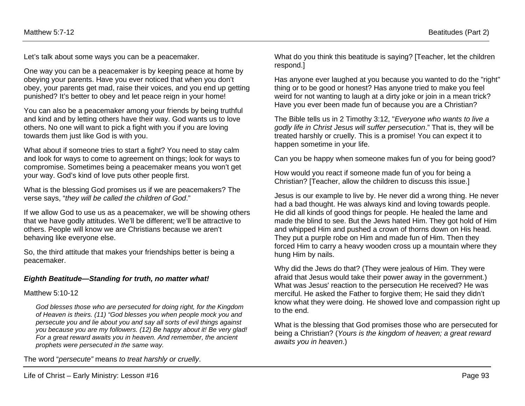Let's talk about some ways you can be a peacemaker.

One way you can be a peacemaker is by keeping peace at home by obeying your parents. Have you ever noticed that when you don't obey, your parents get mad, raise their voices, and you end up getting punished? It's better to obey and let peace reign in your home!

You can also be a peacemaker among your friends by being truthful and kind and by letting others have their way. God wants us to love others. No one will want to pick a fight with you if you are loving towards them just like God is with you.

What about if someone tries to start a fight? You need to stay calm and look for ways to come to agreement on things; look for ways to compromise. Sometimes being a peacemaker means you won't get your way. God's kind of love puts other people first.

What is the blessing God promises us if we are peacemakers? The verse says, "*they will be called the children of God*."

If we allow God to use us as a peacemaker, we will be showing others that we have godly attitudes. We'll be different; we'll be attractive to others. People will know we are Christians because we aren't behaving like everyone else.

So, the third attitude that makes your friendships better is being a peacemaker.

#### *Eighth Beatitude—Standing for truth, no matter what!*

#### Matthew 5:10-12

*God blesses those who are persecuted for doing right, for the Kingdom of Heaven is theirs. (11) "God blesses you when people mock you and persecute you and lie about you and say all sorts of evil things against you because you are my followers. (12) Be happy about it! Be very glad! For a great reward awaits you in heaven. And remember, the ancient prophets were persecuted in the same way.*

The word "*persecute"* means *to treat harshly or cruelly*.

What do you think this beatitude is saying? [Teacher, let the children respond.]

Has anyone ever laughed at you because you wanted to do the "right" thing or to be good or honest? Has anyone tried to make you feel weird for not wanting to laugh at a dirty joke or join in a mean trick? Have you ever been made fun of because you are a Christian?

The Bible tells us in 2 Timothy 3:12, "*Everyone who wants to live a godly life in Christ Jesus will suffer persecution*." That is, they will be treated harshly or cruelly. This is a promise! You can expect it to happen sometime in your life.

Can you be happy when someone makes fun of you for being good?

How would you react if someone made fun of you for being a Christian? [Teacher, allow the children to discuss this issue.]

Jesus is our example to live by. He never did a wrong thing. He never had a bad thought. He was always kind and loving towards people. He did all kinds of good things for people. He healed the lame and made the blind to see. But the Jews hated Him. They got hold of Him and whipped Him and pushed a crown of thorns down on His head. They put a purple robe on Him and made fun of Him. Then they forced Him to carry a heavy wooden cross up a mountain where they hung Him by nails.

Why did the Jews do that? (They were jealous of Him. They were afraid that Jesus would take their power away in the government.) What was Jesus' reaction to the persecution He received? He was merciful. He asked the Father to forgive them; He said they didn't know what they were doing. He showed love and compassion right up to the end.

What is the blessing that God promises those who are persecuted for being a Christian? (*Yours is the kingdom of heaven; a great reward awaits you in heaven*.)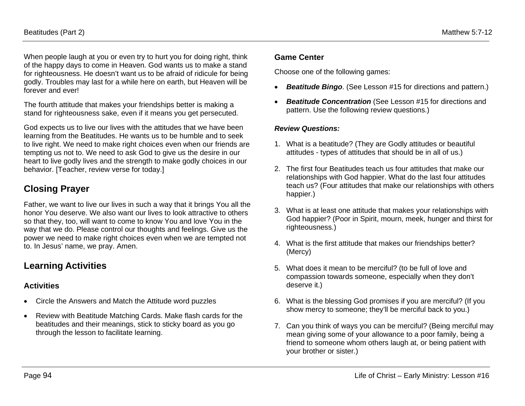When people laugh at you or even try to hurt you for doing right, think of the happy days to come in Heaven. God wants us to make a stand for righteousness. He doesn't want us to be afraid of ridicule for being godly. Troubles may last for a while here on earth, but Heaven will be forever and ever!

The fourth attitude that makes your friendships better is making a stand for righteousness sake, even if it means you get persecuted.

God expects us to live our lives with the attitudes that we have been learning from the Beatitudes. He wants us to be humble and to seek to live right. We need to make right choices even when our friends are tempting us not to. We need to ask God to give us the desire in our heart to live godly lives and the strength to make godly choices in our behavior. [Teacher, review verse for today.]

## **Closing Prayer**

Father, we want to live our lives in such a way that it brings You all the honor You deserve. We also want our lives to look attractive to others so that they, too, will want to come to know You and love You in the way that we do. Please control our thoughts and feelings. Give us the power we need to make right choices even when we are tempted not to. In Jesus' name, we pray. Amen.

# **Learning Activities**

### **Activities**

- Circle the Answers and Match the Attitude word puzzles
- Review with Beatitude Matching Cards. Make flash cards for the beatitudes and their meanings, stick to sticky board as you go through the lesson to facilitate learning.

### **Game Center**

Choose one of the following games:

- *Beatitude Bingo*. (See Lesson #15 for directions and pattern.)
- *Beatitude Concentration* (See Lesson #15 for directions and pattern. Use the following review questions.)

#### *Review Questions:*

- 1. What is a beatitude? (They are Godly attitudes or beautiful attitudes - types of attitudes that should be in all of us.)
- 2. The first four Beatitudes teach us four attitudes that make our relationships with God happier. What do the last four attitudes teach us? (Four attitudes that make our relationships with others happier.)
- 3. What is at least one attitude that makes your relationships with God happier? (Poor in Spirit, mourn, meek, hunger and thirst for righteousness.)
- 4. What is the first attitude that makes our friendships better? (Mercy)
- 5. What does it mean to be merciful? (to be full of love and compassion towards someone, especially when they don't deserve it.)
- 6. What is the blessing God promises if you are merciful? (If you show mercy to someone; they'll be merciful back to you.)
- 7. Can you think of ways you can be merciful? (Being merciful may mean giving some of your allowance to a poor family, being a friend to someone whom others laugh at, or being patient with your brother or sister.)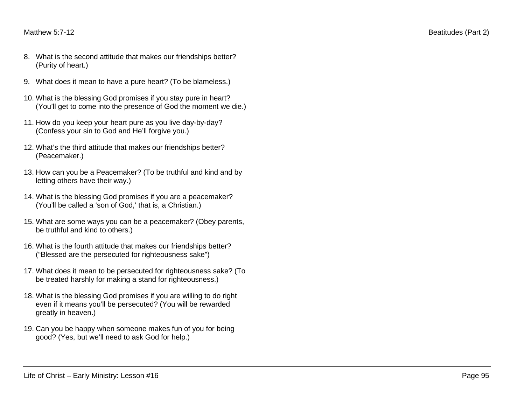- 8. What is the second attitude that makes our friendships better? (Purity of heart.)
- 9. What does it mean to have a pure heart? (To be blameless.)
- 10. What is the blessing God promises if you stay pure in heart? (You'll get to come into the presence of God the moment we die.)
- 11. How do you keep your heart pure as you live day-by-day? (Confess your sin to God and He'll forgive you.)
- 12. What's the third attitude that makes our friendships better? (Peacemaker.)
- 13. How can you be a Peacemaker? (To be truthful and kind and by letting others have their way.)
- 14. What is the blessing God promises if you are a peacemaker? (You'll be called a 'son of God,' that is, a Christian.)
- 15. What are some ways you can be a peacemaker? (Obey parents, be truthful and kind to others.)
- 16. What is the fourth attitude that makes our friendships better? ("Blessed are the persecuted for righteousness sake")
- 17. What does it mean to be persecuted for righteousness sake? (To be treated harshly for making a stand for righteousness.)
- 18. What is the blessing God promises if you are willing to do right even if it means you'll be persecuted? (You will be rewarded greatly in heaven.)
- 19. Can you be happy when someone makes fun of you for being good? (Yes, but we'll need to ask God for help.)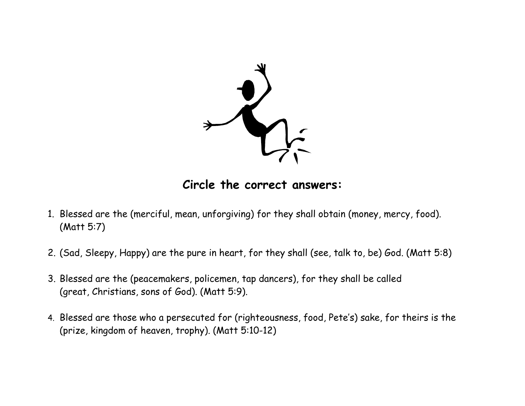

**Circle the correct answers:**

- 1. Blessed are the (merciful, mean, unforgiving) for they shall obtain (money, mercy, food). (Matt 5:7)
- 2. (Sad, Sleepy, Happy) are the pure in heart, for they shall (see, talk to, be) God. (Matt 5:8)
- 3. Blessed are the (peacemakers, policemen, tap dancers), for they shall be called (great, Christians, sons of God). (Matt 5:9).
- 4. Blessed are those who a persecuted for (righteousness, food, Pete's) sake, for theirs is the (prize, kingdom of heaven, trophy). (Matt 5:10-12)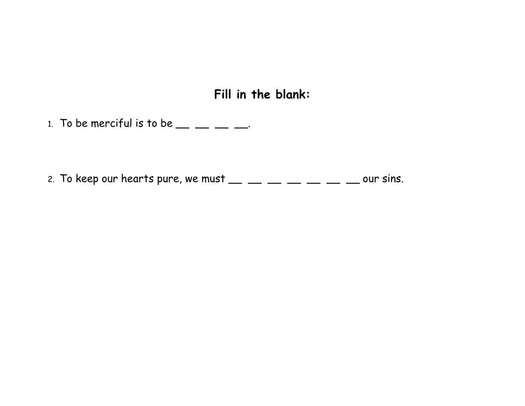**Fill in the blank:**

1. To be merciful is to be  $\_\_\_\_\_\_\_\_\_\_\_\_\_\_\_\_$ 

2. To keep our hearts pure, we must  $\frac{1}{2}$   $\frac{1}{2}$   $\frac{1}{2}$   $\frac{1}{2}$   $\frac{1}{2}$   $\frac{1}{2}$   $\frac{1}{2}$  our sins.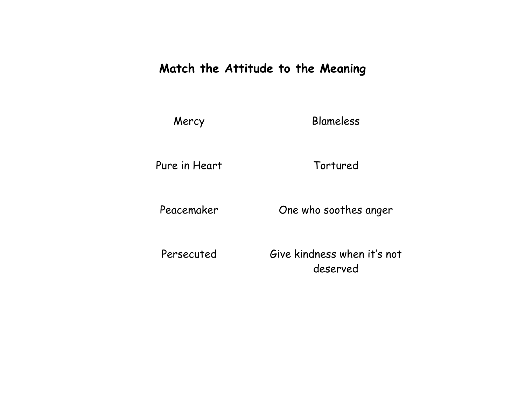# **Match the Attitude to the Meaning**

Mercy Blameless

Pure in Heart Tortured

Peacemaker One who soothes anger

Persecuted Give kindness when it's not deserved